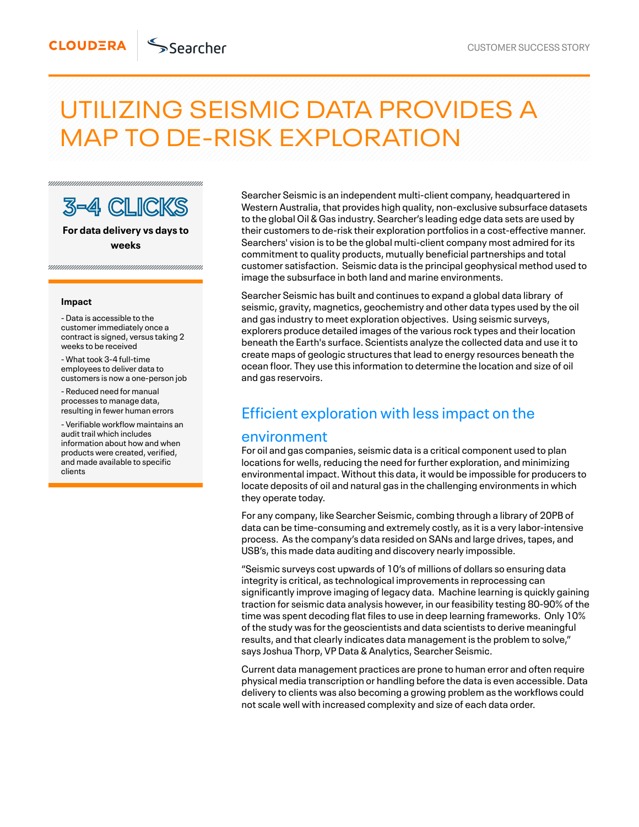# UTILIZING SEISMIC DATA PROVIDES A MAP TO DE-RISK EXPLORATION



**For data delivery vs days to weeks**

#### **Impact**

- Data is accessible to the customer immediately once a contract is signed, versus taking 2 weeks to be received

- What took 3-4 full-time employees to deliver data to customers is now a one-person job

- Reduced need for manual processes to manage data, resulting in fewer human errors

- Verifiable workflow maintains an audit trail which includes information about how and when products were created, verified, and made available to specific clients

Searcher Seismic is an independent multi-client company, headquartered in Western Australia, that provides high quality, non-exclusive subsurface datasets to the global Oil & Gas industry. Searcher's leading edge data sets are used by their customers to de-risk their exploration portfolios in a cost-effective manner. Searchers' vision is to be the global multi-client company most admired for its commitment to quality products, mutually beneficial partnerships and total customer satisfaction. Seismic data is the principal geophysical method used to image the subsurface in both land and marine environments.

Searcher Seismic has built and continues to expand a global data library of seismic, gravity, magnetics, geochemistry and other data types used by the oil and gas industry to meet exploration objectives. Using seismic surveys, explorers produce detailed images of the various rock types and their location beneath the Earth's surface. Scientists analyze the collected data and use it to create maps of geologic structures that lead to energy resources beneath the ocean floor. They use this information to determine the location and size of oil and gas reservoirs.

## Efficient exploration with less impact on the

#### environment

For oil and gas companies, seismic data is a critical component used to plan locations for wells, reducing the need for further exploration, and minimizing environmental impact. Without this data, it would be impossible for producers to locate deposits of oil and natural gas in the challenging environments in which they operate today.

For any company, like Searcher Seismic, combing through a library of 20PB of data can be time-consuming and extremely costly, as it is a very labor-intensive process. As the company's data resided on SANs and large drives, tapes, and USB's, this made data auditing and discovery nearly impossible.

"Seismic surveys cost upwards of 10's of millions of dollars so ensuring data integrity is critical, as technological improvements in reprocessing can significantly improve imaging of legacy data. Machine learning is quickly gaining traction for seismic data analysis however, in our feasibility testing 80-90% of the time was spent decoding flat files to use in deep learning frameworks. Only 10% of the study was for the geoscientists and data scientists to derive meaningful results, and that clearly indicates data management is the problem to solve," says Joshua Thorp, VP Data & Analytics, Searcher Seismic.

Current data management practices are prone to human error and often require physical media transcription or handling before the data is even accessible. Data delivery to clients was also becoming a growing problem as the workflows could not scale well with increased complexity and size of each data order.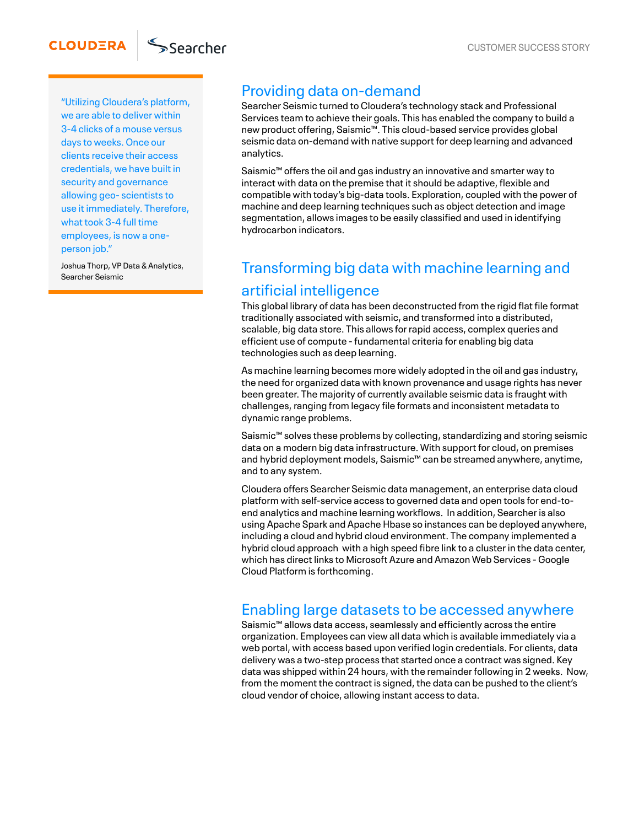"Utilizing Cloudera's platform, we are able to deliver within 3-4 clicks of a mouse versus days to weeks. Once our clients receive their access credentials, we have built in security and governance allowing geo- scientists to use it immediately. Therefore, what took 3-4 full time employees, is now a oneperson job."

Joshua Thorp, VP Data & Analytics, Searcher Seismic

## Providing data on-demand

Searcher Seismic turned to Cloudera's technology stack and Professional Services team to achieve their goals. This has enabled the company to build a new product offering, Saismic™. This cloud-based service provides global seismic data on-demand with native support for deep learning and advanced analytics.

Saismic<sup>™</sup> offers the oil and gas industry an innovative and smarter way to interact with data on the premise that it should be adaptive, flexible and compatible with today's big-data tools. Exploration, coupled with the power of machine and deep learning techniques such as object detection and image segmentation, allows images to be easily classified and used in identifying hydrocarbon indicators.

## Transforming big data with machine learning and artificial intelligence

This global library of data has been deconstructed from the rigid flat file format traditionally associated with seismic, and transformed into a distributed, scalable, big data store. This allows for rapid access, complex queries and efficient use of compute -fundamental criteria for enabling big data technologies such as deep learning.

As machine learning becomes more widely adopted in the oil and gas industry, the need for organized data with known provenance and usage rights has never been greater. The majority of currently available seismic data is fraught with challenges, ranging from legacy file formats and inconsistent metadata to dynamic range problems.

Saismic™ solves these problems by collecting, standardizing and storing seismic data on a modern big data infrastructure. With support for cloud, on premises and hybrid deployment models, Saismic™ can be streamed anywhere, anytime, and to any system.

Cloudera offers Searcher Seismic data management, an enterprise data cloud platform with self-service access to governed data and open tools for end-toend analytics and machine learning workflows. In addition, Searcher is also using Apache Spark and Apache Hbase so instances can be deployed anywhere, including a cloud and hybrid cloud environment. The company implemented a hybrid cloud approach with a high speed fibre link to a cluster in the data center, which has direct links to Microsoft Azure and Amazon Web Services - Google Cloud Platform is forthcoming.

### Enabling large datasets to be accessed anywhere

Saismic<sup>™</sup> allows data access, seamlessly and efficiently across the entire organization. Employees can view all data which is available immediately via a web portal, with access based upon verified login credentials. For clients, data delivery was a two-step process that started once a contract was signed. Key data was shipped within 24 hours, with the remainder following in 2 weeks. Now, from the moment the contract is signed, the data can be pushed to the client's cloud vendor of choice, allowing instant access to data.